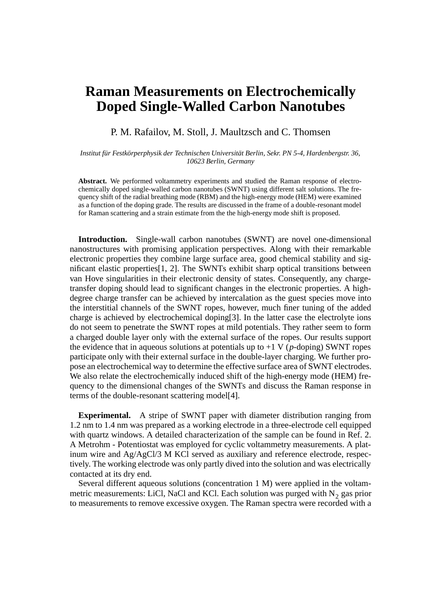## **Raman Measurements on Electrochemically Doped Single-Walled Carbon Nanotubes**

P. M. Rafailov, M. Stoll, J. Maultzsch and C. Thomsen

*Institut für Festkörperphysik der Technischen Universität Berlin, Sekr. PN 5-4, Hardenbergstr. 36, 10623 Berlin, Germany*

**Abstract.** We performed voltammetry experiments and studied the Raman response of electrochemically doped single-walled carbon nanotubes (SWNT) using different salt solutions. The frequency shift of the radial breathing mode (RBM) and the high-energy mode (HEM) were examined as a function of the doping grade. The results are discussed in the frame of a double-resonant model for Raman scattering and a strain estimate from the the high-energy mode shift is proposed.

**Introduction.** Single-wall carbon nanotubes (SWNT) are novel one-dimensional nanostructures with promising application perspectives. Along with their remarkable electronic properties they combine large surface area, good chemical stability and significant elastic properties[1, 2]. The SWNTs exhibit sharp optical transitions between van Hove singularities in their electronic density of states. Consequently, any chargetransfer doping should lead to significant changes in the electronic properties. A highdegree charge transfer can be achieved by intercalation as the guest species move into the interstitial channels of the SWNT ropes, however, much finer tuning of the added charge is achieved by electrochemical doping[3]. In the latter case the electrolyte ions do not seem to penetrate the SWNT ropes at mild potentials. They rather seem to form a charged double layer only with the external surface of the ropes. Our results support the evidence that in aqueous solutions at potentials up to  $+1$  V ( $p$ -doping) SWNT ropes participate only with their external surface in the double-layer charging. We further propose an electrochemical way to determine the effective surface area of SWNT electrodes. We also relate the electrochemically induced shift of the high-energy mode (HEM) frequency to the dimensional changes of the SWNTs and discuss the Raman response in terms of the double-resonant scattering model[4].

**Experimental.** A stripe of SWNT paper with diameter distribution ranging from 1.2 nm to 1.4 nm was prepared as a working electrode in a three-electrode cell equipped with quartz windows. A detailed characterization of the sample can be found in Ref. 2. A Metrohm - Potentiostat was employed for cyclic voltammetry measurements. A platinum wire and Ag/AgCl/3 M KCl served as auxiliary and reference electrode, respectively. The working electrode was only partly dived into the solution and was electrically contacted at its dry end.

Several different aqueous solutions (concentration 1 M) were applied in the voltammetric measurements: LiCl, NaCl and KCl. Each solution was purged with  $N_2$  gas prior to measurements to remove excessive oxygen. The Raman spectra were recorded with a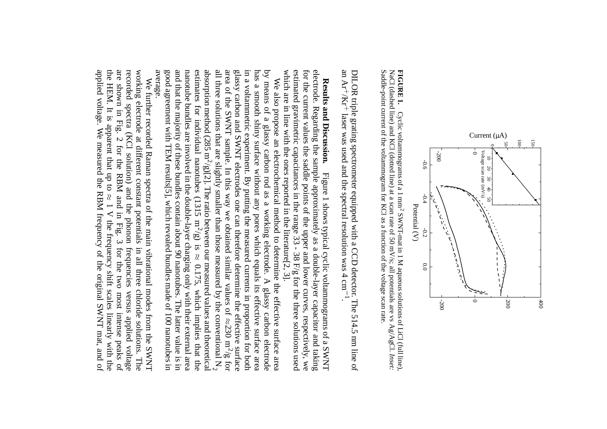

Saddle-point current of the voltammogram for KCl as a function of the voltage scan rate. Saddle-point current of the voltammogram for KCl as a function of the voltage scan rate. NaCl (dashed line) and KCl (dotted line) at a scan rate of 50 mV/s; all potentials are vs  $A\&\Delta$ gCl. **FIGURE 1.** Cyclic voltammograms of a  $1 \text{ mm}^2$ SWNT-mat in 1 M aqueous solutions of LiCl (full line), *Inset:*

an Ar DILOR triple grating spectrometer equipped with a CCD detector. The 514.5 nm line of +/Kr+laser was used and the spectral resolution was 4 cm $\cdot$   $-$ 

estimated gravimetric capacitances in the range  $33 - 38$  F/g for the three solutions used which are in line with the ones reported in the literature[2, 3]. which are in line with the ones reported in the literature[2, 3]. estimated gravimetric capacitances in the range  $33$  -  $38$  F/g for the three solutions used for the current values the saddle points of the upper and lower curves, respectively, we for the current values the saddle points of the upper and lower curves, respectively, we electrode. Regarding the sample approximately as a double-layer capacitor and taking electrode. Regarding the sample approximately as a double-layer capacitor and taking Results and Discussion. **Results and Discussion.** Figure 1 shows typical cyclic voltammograms of a SWNT Figure 1 shows typical cyclic voltammograms of a SWNT

average. and that the majority of these bundles contain about 90 nanotubes. The latter value is in estimates for individual nanotubes (1315 m<sup>2</sup>/g) is  $\approx$  0.175, which implies that the all three solutions that are slightly smaller than those measured by the conventional  $N_2$ in a voltammetric experiment. By putting the measured currents in proportion for both good agreement with TEM results[5], which revealed bundles made of 100 nanotubes in good agreement with TEM results[5], which revealed bundles made of 100 nanotubes in and that the majority of these bundles contain about 90 nanotubes. The latter value is in nanotube bundles are involved in the double-layer charging only with their external area nanotube bundles are involved in the double-layer charging only with their external area estimates for individual nanotubes (1315 m<sup>2</sup>/g) is absorption method (285 m<sup>2</sup>/g)[2]. The ratio between our measured values and theoretical absorption method (285 m<sup>2</sup>/g)[2]. The ratio between our measured values and theoretical all three solutions that are slightly smaller than those measured by the conventional  $N_2$ area of the SWNT sample. area of the SWNT sample. In this way we obtained similar values of glassy carbon and SWNT electrodes one can therefore determine the effective surface glassy carbon and SWNT electrodes one can therefore determine the effective surface in a voltammetric experiment. By putting the measured currents in proportion for both has a smooth shiny surface without any pores which equals its effective surface area has a smooth shiny surface without any pores which equals its effective surface area by means of a glassy carbon rod as a working electrode. A glassy carbon electrode by means of a glassy carbon rod as a working electrode. A glassy carbon electrode We also propose an electrochemical method to determine the effective surface area We also propose an electrochemical method to determine the effective surface area In this way we obtained similar values of  $\approx$ 230 m<sup>2</sup>/g for .<br>ا 0.175, which implies that the  $\approx$ 230 m<sup>2</sup>/g for

the HEM. It is apparent that up to  $\approx$  1 V the frequency shift scales linearly with the are shown in Fig. 2 for the RBM and in Fig. 3 for the two most intense peaks of applied voltage. We measured the RBM frequency of the original SWNT mat, and of applied voltage. We measured the RBM frequency of the original SWNT mat, and ofthe HEM. It is apparent that up to are shown in Fig. 2 for the RBM and in Fig. 3 for the two most intense peaks of recorded spectra (KCl solution) and the phonon recorded spectra (KCl solution) and the phonon frequencies versus applied voltage working electrode at different constant potentials in all three chloride solutions. The working electrode at different constant potentials in all three chloride solutions. The We further recorded Raman spectra of the main vibrational modes from the SWNT We further recorded Raman spectra of the main vibrational modes from the SWNT .<br>ا 1 V the frequency shift scales linearly with the frequencies versus applied voltage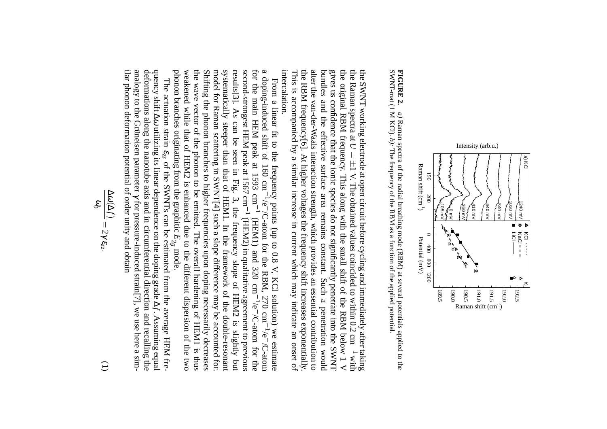

**FIGURE 2.** *a)* Raman spectra of the radial breathing mode (RBM) at several potentials applied to the SWNT-mat (1 M KCl). *b):* The frequency of the RBM as a function of the applied potential.

the RBM frequency[6]. At higher voltages the frequency shift increases exponentially alter the van-der-Waals interaction strength, which provides an essential contribution to the original RBM frequency. This along with the small shift of the RBM below 1 V V gives us confidence that the ionic species do not significantly penetrate into the SWNT intercalation. intercalation. This is accompanied by a similar increase in current which may indicate an onset of This is accompanied by a similar increase in current which may indicate an onset of the RBM frequency[6]. At higher voltages the frequency shift increases exponentially. alter the van-der-Waals interaction strength, which provides an essential contribution to bundles and the effective surface area remains constant. Such a penetration would bundles the original RBM frequency. This along with the small shift of the RBM below 1 V the Raman spectra at the SWNT working electrode at open circuit before cycling and immediately after taking and the effective surface area remains constant. fidence that the ionic species do not significantly penetrate into the SWNT *U*  $\pm 1$  V. The obtained values coincided to within 0.2 cm Such a penetration would  $\overline{\phantom{a}}$ with

the wave vector of the phonon to be emitted. The overall hardening of HEM1 is thus phonon branches originating from the graphitic weakened while that of HEM2 is enhanced due to the different dispersion of the two the wave vector of the phonon to be emitted. The overall hardening of HEM1 is thus Shifting the phonon branches to higher frequencies upon doping necessarily decreases Shifting the phonon branches to higher frequencies upon doping necessarily decreases model for Raman scattering in SWNT[4] such a slope difference may be accounted for. model for Raman scattering in SWNT[4] such a slope difference may be accounted for. systematically steeper than that of HEM1. In the framework of the double-resonant systematically steeper than that of HEM1. In the framework of the double-resonant results[3]. As can be seen in Fig. 3, the frequency slope of HEM2 is slightly but results[3]. As can be seen in Fig. 3, the frequency slope of HEM2 is slightly but second-strongest HEM peak at 1567 cmfor the main HEM peak at 1593 cma doping-induced shift of 160 cmFrom a linear fit to the frequency points (up to 0.8 V, KCl solution) we estimate  $-1/e$  $\overline{\phantom{a}}$  $\overline{\mathsf{L}}$ /C-atom for the RBM, 270 cm(HEM2) in qualitative agreement to previous (HEM1) and 320 cm $E_{2g}$ mode.  $\gamma_1$ /C-atom for the  $-1/e$ /C-atom

ilar phonon deformation potential of order unity and obtain ilar phonon deformation potential of order unity and obtain analogy to the Grüneisen parameter  $\gamma$  for pressure-induced strain[7], we use here a simanalogy to the Gr deformations along the nanotube axis and in circumferential direction and recalling the deformations along the nanotube axis and in circumferential direction and recalling the quency shift The actuation strain  $\varepsilon_{zz}$  of the SWNTs can be estimated from the average HEM fre-The actuation strain ∆ω utilizing its linear dependence on the doping grade üneisen parameter of the SWNTs can be estimated from the average HEM frefor pressure-induced strain[7], we use here a sim-∆*f* . Assuming equal

$$
\frac{\Delta \omega(\Delta f)}{\omega_0} = 2\gamma \,\varepsilon_{zz}.\tag{1}
$$